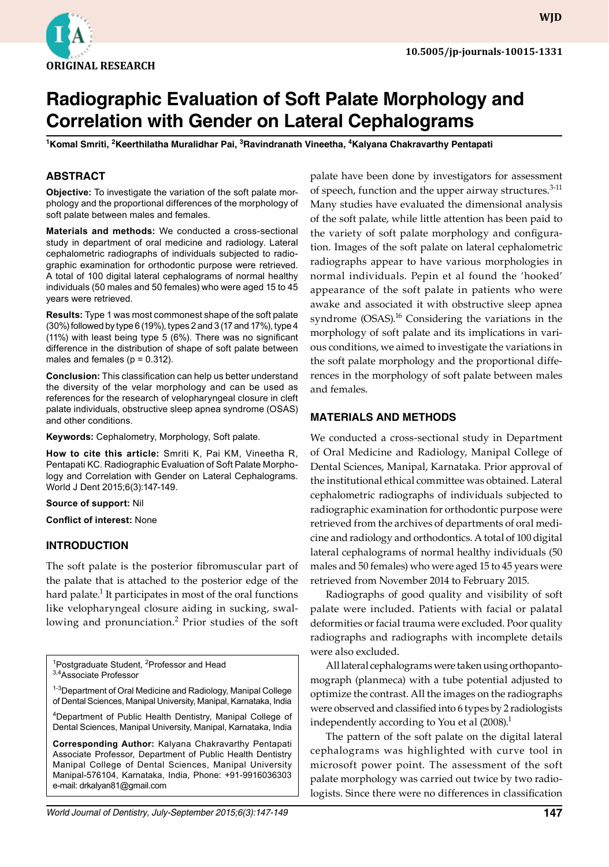

# **Radiographic Evaluation of Soft Palate Morphology and Correlation with Gender on Lateral Cephalograms**

**1 Komal Smriti, 2 Keerthilatha Muralidhar Pai, 3 Ravindranath Vineetha, 4 Kalyana Chakravarthy Pentapati**

# **ABSTRACT**

**Objective:** To investigate the variation of the soft palate morphology and the proportional differences of the morphology of soft palate between males and females.

**Materials and methods:** We conducted a cross-sectional study in department of oral medicine and radiology. Lateral cephalometric radiographs of individuals subjected to radiographic examination for orthodontic purpose were retrieved. A total of 100 digital lateral cephalograms of normal healthy individuals (50 males and 50 females) who were aged 15 to 45 years were retrieved.

**Results:** Type 1 was most commonest shape of the soft palate (30%) followed by type 6 (19%), types 2 and 3 (17 and 17%), type 4 (11%) with least being type 5 (6%). There was no significant difference in the distribution of shape of soft palate between males and females ( $p = 0.312$ ).

**Conclusion:** This classification can help us better understand the diversity of the velar morphology and can be used as references for the research of velopharyngeal closure in cleft palate individuals, obstructive sleep apnea syndrome (OSAS) and other conditions.

**Keywords:** Cephalometry, Morphology, Soft palate.

**How to cite this article:** Smriti K, Pai KM, Vineetha R, Pentapati KC. Radiographic Evaluation of Soft Palate Morphology and Correlation with Gender on Lateral Cephalograms. World J Dent 2015;6(3):147-149.

**Source of support:** Nil

**Conflict of interest:** None

## **Introduction**

The soft palate is the posterior fibromuscular part of the palate that is attached to the posterior edge of the hard palate. $^1$  It participates in most of the oral functions like velopharyngeal closure aiding in sucking, swallowing and pronunciation.<sup>2</sup> Prior studies of the soft

<sup>1</sup>Postgraduate Student, <sup>2</sup>Professor and Head 3,4Associate Professor

<sup>1-3</sup>Department of Oral Medicine and Radiology, Manipal College of Dental Sciences, Manipal University, Manipal, Karnataka, India

4 Department of Public Health Dentistry, Manipal College of Dental Sciences, Manipal University, Manipal, Karnataka, India

**Corresponding Author:** Kalyana Chakravarthy Pentapati Associate Professor, Department of Public Health Dentistry Manipal College of Dental Sciences, Manipal University Manipal-576104, Karnataka, India, Phone: +91-9916036303 e-mail: drkalyan81@gmail.com

*World Journal of Dentistry, July-September 2015;6(3):147-149* **147**

palate have been done by investigators for assessment of speech, function and the upper airway structures.<sup>3-11</sup> Many studies have evaluated the dimensional analysis of the soft palate, while little attention has been paid to the variety of soft palate morphology and configuration. Images of the soft palate on lateral cephalometric radiographs appear to have various morphologies in normal individuals. Pepin et al found the 'hooked' appearance of the soft palate in patients who were awake and associated it with obstructive sleep apnea syndrome  $(OSAS)^{16}$  Considering the variations in the morphology of soft palate and its implications in various conditions, we aimed to investigate the variations in the soft palate morphology and the proportional differences in the morphology of soft palate between males and females.

### **Materials and Methods**

We conducted a cross-sectional study in Department of Oral Medicine and Radiology, Manipal College of Dental Sciences, Manipal, Karnataka. Prior approval of the institutional ethical committee was obtained. Lateral cephalometric radiographs of individuals subjected to radiographic examination for orthodontic purpose were retrieved from the archives of departments of oral medicine and radiology and orthodontics. A total of 100 digital lateral cephalograms of normal healthy individuals (50 males and 50 females) who were aged 15 to 45 years were retrieved from November 2014 to February 2015.

Radiographs of good quality and visibility of soft palate were included. Patients with facial or palatal deformities or facial trauma were excluded. Poor quality radiographs and radiographs with incomplete details were also excluded.

All lateral cephalograms were taken using orthopantomograph (planmeca) with a tube potential adjusted to optimize the contrast. All the images on the radiographs were observed and classified into 6 types by 2 radiologists independently according to You et al  $(2008)^{1}$ 

The pattern of the soft palate on the digital lateral cephalograms was highlighted with curve tool in microsoft power point. The assessment of the soft palate morphology was carried out twice by two radiologists. Since there were no differences in classification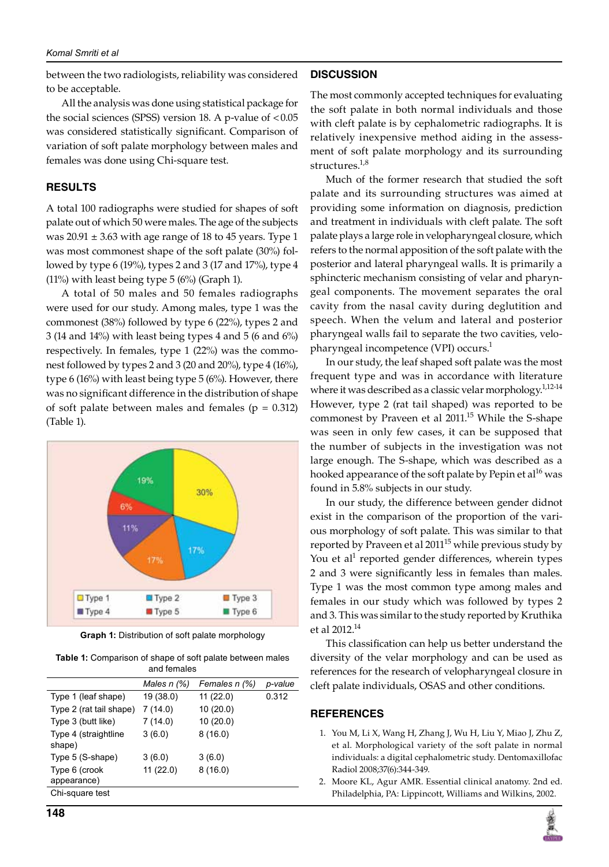#### *Komal Smriti et al*

between the two radiologists, reliability was considered to be acceptable.

All the analysis was done using statistical package for the social sciences (SPSS) version  $18$ . A p-value of  $< 0.05$ was considered statistically significant. Comparison of variation of soft palate morphology between males and females was done using Chi-square test.

# **Results**

A total 100 radiographs were studied for shapes of soft palate out of which 50 were males. The age of the subjects was  $20.91 \pm 3.63$  with age range of 18 to 45 years. Type 1 was most commonest shape of the soft palate (30%) followed by type 6 (19%), types 2 and 3 (17 and 17%), type 4 (11%) with least being type 5 (6%) (Graph 1).

A total of 50 males and 50 females radiographs were used for our study. Among males, type 1 was the commonest (38%) followed by type 6 (22%), types 2 and 3 (14 and 14%) with least being types 4 and 5 (6 and 6%) respectively. In females, type 1 (22%) was the commonest followed by types 2 and 3 (20 and 20%), type 4 (16%), type 6 (16%) with least being type 5 (6%). However, there was no significant difference in the distribution of shape of soft palate between males and females ( $p = 0.312$ ) (Table 1).



**Graph 1:** Distribution of soft palate morphology

**Table 1:** Comparison of shape of soft palate between males and females

|                                 | Males $n$ $(\%)$ | Females n (%) | p-value |
|---------------------------------|------------------|---------------|---------|
| Type 1 (leaf shape)             | 19 (38.0)        | 11(22.0)      | 0.312   |
| Type 2 (rat tail shape)         | 7(14.0)          | 10(20.0)      |         |
| Type 3 (butt like)              | 7(14.0)          | 10(20.0)      |         |
| Type 4 (straightline)<br>shape) | 3(6.0)           | 8(16.0)       |         |
| Type 5 (S-shape)                | 3(6.0)           | 3(6.0)        |         |
| Type 6 (crook<br>appearance)    | 11(22.0)         | 8(16.0)       |         |
| Chi-square test                 |                  |               |         |

# **Discussion**

The most commonly accepted techniques for evaluating the soft palate in both normal individuals and those with cleft palate is by cephalometric radiographs. It is relatively inexpensive method aiding in the assessment of soft palate morphology and its surrounding structures. $1,8$ 

Much of the former research that studied the soft palate and its surrounding structures was aimed at providing some information on diagnosis, prediction and treatment in individuals with cleft palate. The soft palate plays a large role in velopharyngeal closure, which refers to the normal apposition of the soft palate with the posterior and lateral pharyngeal walls. It is primarily a sphincteric mechanism consisting of velar and pharyngeal components. The movement separates the oral cavity from the nasal cavity during deglutition and speech. When the velum and lateral and posterior pharyngeal walls fail to separate the two cavities, velopharyngeal incompetence (VPI) occurs.<sup>1</sup>

In our study, the leaf shaped soft palate was the most frequent type and was in accordance with literature where it was described as a classic velar morphology. $1,12-14$ However, type 2 (rat tail shaped) was reported to be commonest by Praveen et al 2011.<sup>15</sup> While the S-shape was seen in only few cases, it can be supposed that the number of subjects in the investigation was not large enough. The S-shape, which was described as a hooked appearance of the soft palate by Pepin et al<sup>16</sup> was found in 5.8% subjects in our study.

In our study, the difference between gender didnot exist in the comparison of the proportion of the various morphology of soft palate. This was similar to that reported by Praveen et al  $2011^{15}$  while previous study by You et al<sup>1</sup> reported gender differences, wherein types 2 and 3 were significantly less in females than males. Type 1 was the most common type among males and females in our study which was followed by types 2 and 3. This was similar to the study reported by Kruthika et al 2012.14

This classification can help us better understand the diversity of the velar morphology and can be used as references for the research of velopharyngeal closure in cleft palate individuals, OSAS and other conditions.

## **References**

- 1. You M, Li X, Wang H, Zhang J, Wu H, Liu Y, Miao J, Zhu Z, et al. Morphological variety of the soft palate in normal individuals: a digital cephalometric study. Dentomaxillofac Radiol 2008;37(6):344-349.
- 2. Moore KL, Agur AMR. Essential clinical anatomy. 2nd ed. Philadelphia, PA: Lippincott, Williams and Wilkins, 2002.